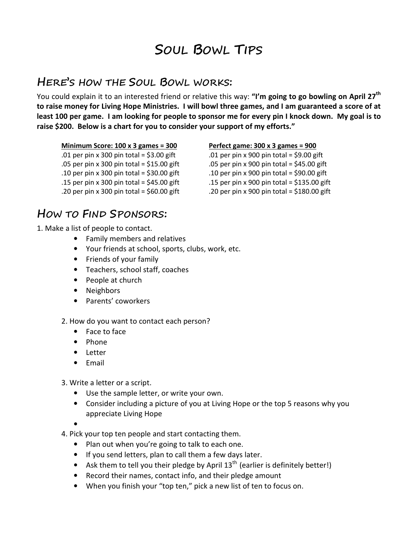# SOUL BOWL TIPS

### HERE'S HOW THE SOUL BOWL WORKS:

You could explain it to an interested friend or relative this way: "I'm going to go bowling on April 27<sup>th</sup> to raise money for Living Hope Ministries. I will bowl three games, and I am guaranteed a score of at least 100 per game. I am looking for people to sponsor me for every pin I knock down. My goal is to raise \$200. Below is a chart for you to consider your support of my efforts."

### Minimum Score:  $100 \times 3$  games =  $300$  Perfect game:  $300 \times 3$  games =  $900$

.01 per pin x 300 pin total =  $$3.00$  gift .01 per pin x 900 pin total =  $$9.00$  gift .20 per pin x 300 pin total =  $$60.00$  gift .20 per pin x 900 pin total =  $$180.00$  gift

.05 per pin x 300 pin total = \$15.00 gift .05 per pin x 900 pin total = \$45.00 gift .10 per pin x 300 pin total = \$30.00 gift .10 per pin x 900 pin total = \$90.00 gift .15 per pin x 300 pin total =  $$45.00$  gift .15 per pin x 900 pin total =  $$135.00$  gift

## HOW TO FIND SPONSORS:

1. Make a list of people to contact.

- Family members and relatives
- Your friends at school, sports, clubs, work, etc.
- Friends of your family
- Teachers, school staff, coaches
- People at church
- Neighbors
- Parents' coworkers

### 2. How do you want to contact each person?

- Face to face
- Phone
- Letter
- Email

3. Write a letter or a script.

- Use the sample letter, or write your own.
- Consider including a picture of you at Living Hope or the top 5 reasons why you appreciate Living Hope
- •

4. Pick your top ten people and start contacting them.

- Plan out when you're going to talk to each one.
- If you send letters, plan to call them a few days later.
- Ask them to tell you their pledge by April  $13<sup>th</sup>$  (earlier is definitely better!)
- Record their names, contact info, and their pledge amount
- When you finish your "top ten," pick a new list of ten to focus on.